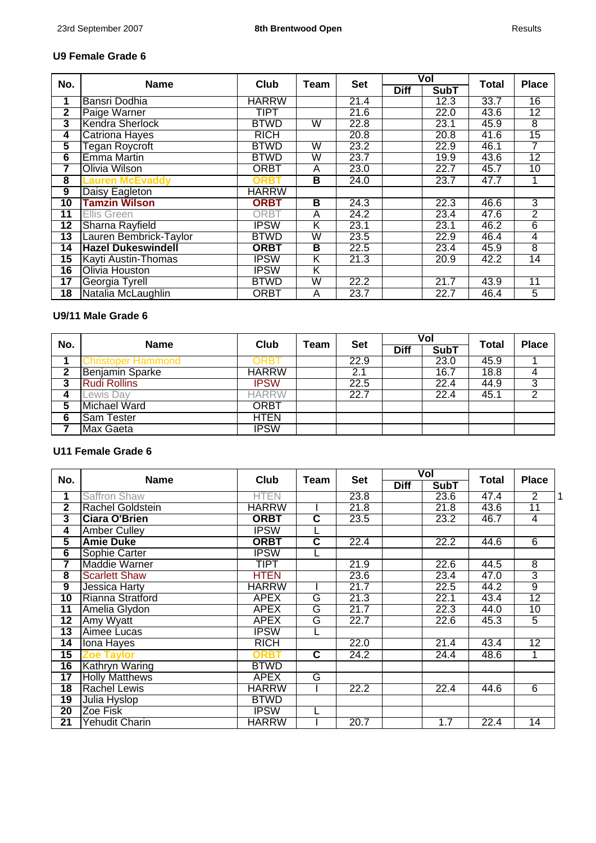### **U9 Female Grade 6**

| No.             | <b>Name</b>               | Club         | <b>Team</b>             | <b>Set</b> |             | Vol         | Total | <b>Place</b>    |
|-----------------|---------------------------|--------------|-------------------------|------------|-------------|-------------|-------|-----------------|
|                 |                           |              |                         |            | <b>Diff</b> | <b>SubT</b> |       |                 |
| 1               | Bansri Dodhia             | <b>HARRW</b> |                         | 21.4       |             | 12.3        | 33.7  | 16              |
| 2               | Paige Warner              | TIPT         |                         | 21.6       |             | 22.0        | 43.6  | $\overline{12}$ |
| 3               | Kendra Sherlock           | <b>BTWD</b>  | W                       | 22.8       |             | 23.1        | 45.9  | 8               |
| 4               | <b>Catriona Hayes</b>     | <b>RICH</b>  |                         | 20.8       |             | 20.8        | 41.6  | 15              |
| 5               | Tegan Roycroft            | <b>BTWD</b>  | W                       | 23.2       |             | 22.9        | 46.1  | 7               |
| 6               | <b>Emma Martin</b>        | <b>BTWD</b>  | W                       | 23.7       |             | 19.9        | 43.6  | $\overline{12}$ |
| 7               | Olivia Wilson             | <b>ORBT</b>  | A                       | 23.0       |             | 22.7        | 45.7  | $\overline{10}$ |
| 8               | Lauren McEvaddy           | <b>ORBT</b>  | B                       | 24.0       |             | 23.7        | 47.7  | 1               |
| 9               | Daisy Eagleton            | <b>HARRW</b> |                         |            |             |             |       |                 |
| $\overline{10}$ | <b>Tamzin Wilson</b>      | <b>ORBT</b>  | В                       | 24.3       |             | 22.3        | 46.6  | 3               |
| 11              | Ellis Green               | <b>ORBT</b>  | A                       | 24.2       |             | 23.4        | 47.6  | $\overline{2}$  |
| $\overline{12}$ | Sharna Rayfield           | <b>IPSW</b>  | Κ                       | 23.1       |             | 23.1        | 46.2  | $\overline{6}$  |
| 13              | Lauren Bembrick-Taylor    | <b>BTWD</b>  | W                       | 23.5       |             | 22.9        | 46.4  | $\overline{4}$  |
| 14              | <b>Hazel Dukeswindell</b> | <b>ORBT</b>  | В                       | 22.5       |             | 23.4        | 45.9  | 8               |
| 15              | Kayti Austin-Thomas       | <b>IPSW</b>  | Κ                       | 21.3       |             | 20.9        | 42.2  | 14              |
| 16              | Olivia Houston            | <b>IPSW</b>  | Κ                       |            |             |             |       |                 |
| $\overline{17}$ | Georgia Tyrell            | <b>BTWD</b>  | $\overline{\mathsf{W}}$ | 22.2       |             | 21.7        | 43.9  | 11              |
| $\overline{18}$ | Natalia McLaughlin        | <b>ORBT</b>  | A                       | 23.7       |             | 22.7        | 46.4  | 5               |

## **U9/11 Male Grade 6**

| No.           | <b>Name</b>            | Club         | Team | <b>Set</b> |             | Vol         | <b>Total</b> | <b>Place</b> |
|---------------|------------------------|--------------|------|------------|-------------|-------------|--------------|--------------|
|               |                        |              |      |            | <b>Diff</b> | <b>SubT</b> |              |              |
|               | Christoper Hammond     | )RR          |      | 22.9       |             | 23.0        | 45.9         |              |
| 2             | <b>Benjamin Sparke</b> | <b>HARRW</b> |      | 2.1        |             | 16.7        | 18.8         | 4            |
| <u>ຸ</u><br>J | <b>Rudi Rollins</b>    | <b>IPSW</b>  |      | 22.5       |             | 22.4        | 44.9         | 3            |
|               | Lewis Day              | HARRW        |      | 22.7       |             | 22.4        | 45.1         | ົ            |
| 5             | Michael Ward           | <b>ORBT</b>  |      |            |             |             |              |              |
| 6             | <b>Sam Tester</b>      | <b>HTEN</b>  |      |            |             |             |              |              |
|               | Max Gaeta              | <b>IPSW</b>  |      |            |             |             |              |              |

#### **U11 Female Grade 6**

| No.             | <b>Name</b>             | Club         | Team                    | <b>Set</b> |             | Vol         | Total | <b>Place</b>    |   |
|-----------------|-------------------------|--------------|-------------------------|------------|-------------|-------------|-------|-----------------|---|
|                 |                         |              |                         |            | <b>Diff</b> | <b>SubT</b> |       |                 |   |
| 1               | <b>Saffron Shaw</b>     | <b>HTEN</b>  |                         | 23.8       |             | 23.6        | 47.4  | $\overline{2}$  | 1 |
| $\overline{2}$  | <b>Rachel Goldstein</b> | <b>HARRW</b> |                         | 21.8       |             | 21.8        | 43.6  | 11              |   |
| 3               | <b>Ciara O'Brien</b>    | <b>ORBT</b>  | $\overline{\mathbf{c}}$ | 23.5       |             | 23.2        | 46.7  | 4               |   |
| 4               | <b>Amber Culley</b>     | <b>IPSW</b>  |                         |            |             |             |       |                 |   |
| 5               | <b>Amie Duke</b>        | <b>ORBT</b>  | $\overline{\mathbf{c}}$ | 22.4       |             | 22.2        | 44.6  | 6               |   |
| $6\overline{6}$ | Sophie Carter           | <b>IPSW</b>  |                         |            |             |             |       |                 |   |
| 7               | <b>Maddie Warner</b>    | <b>TIPT</b>  |                         | 21.9       |             | 22.6        | 44.5  | $\overline{8}$  |   |
| 8               | <b>Scarlett Shaw</b>    | <b>HTEN</b>  |                         | 23.6       |             | 23.4        | 47.0  | $\overline{3}$  |   |
| $\overline{9}$  | <b>Jessica Harty</b>    | <b>HARRW</b> |                         | 21.7       |             | 22.5        | 44.2  | 9               |   |
| $\overline{10}$ | Rianna Stratford        | <b>APEX</b>  | G                       | 21.3       |             | 22.1        | 43.4  | $\overline{12}$ |   |
| $\overline{11}$ | Amelia Glydon           | <b>APEX</b>  | G                       | 21.7       |             | 22.3        | 44.0  | 10              |   |
| $\overline{12}$ | Amy Wyatt               | <b>APEX</b>  | G                       | 22.7       |             | 22.6        | 45.3  | 5               |   |
| 13              | Aimee Lucas             | <b>IPSW</b>  |                         |            |             |             |       |                 |   |
| 14              | Iona Hayes              | <b>RICH</b>  |                         | 22.0       |             | 21.4        | 43.4  | 12              |   |
| 15              | <b>Zoe Taylor</b>       | ORBT         | $\overline{\mathbf{c}}$ | 24.2       |             | 24.4        | 48.6  | 1               |   |
| 16              | Kathryn Waring          | <b>BTWD</b>  |                         |            |             |             |       |                 |   |
| 17              | <b>Holly Matthews</b>   | <b>APEX</b>  | G                       |            |             |             |       |                 |   |
| $\overline{18}$ | <b>Rachel Lewis</b>     | <b>HARRW</b> |                         | 22.2       |             | 22.4        | 44.6  | 6               |   |
| $\overline{19}$ | Julia Hyslop            | <b>BTWD</b>  |                         |            |             |             |       |                 |   |
| 20              | Zoe Fisk                | <b>IPSW</b>  |                         |            |             |             |       |                 |   |
| 21              | Yehudit Charin          | <b>HARRW</b> |                         | 20.7       |             | 1.7         | 22.4  | 14              |   |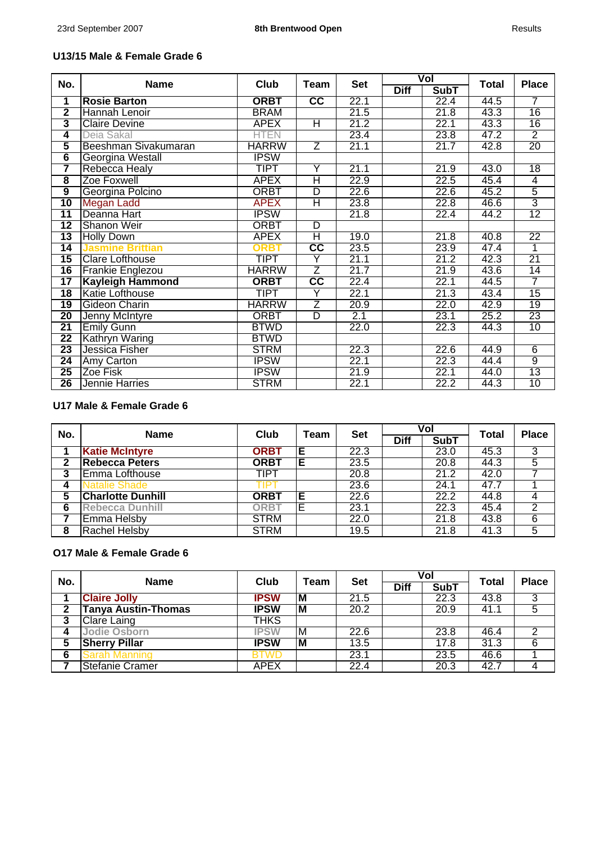J.

# **U13/15 Male & Female Grade 6**

| No.                     | <b>Name</b>             | Club         | Team                   | <b>Set</b> |             | Vol         | <b>Total</b> | <b>Place</b>    |
|-------------------------|-------------------------|--------------|------------------------|------------|-------------|-------------|--------------|-----------------|
|                         |                         |              |                        |            | <b>Diff</b> | <b>SubT</b> |              |                 |
| 1                       | <b>Rosie Barton</b>     | <b>ORBT</b>  | cc                     | 22.1       |             | 22.4        | 44.5         | $\overline{7}$  |
| $\overline{\mathbf{2}}$ | Hannah Lenoir           | <b>BRAM</b>  |                        | 21.5       |             | 21.8        | 43.3         | 16              |
| 3                       | <b>Claire Devine</b>    | <b>APEX</b>  | Η                      | 21.2       |             | 22.1        | 43.3         | 16              |
| 4                       | Deia Sakal              | <b>HTEN</b>  |                        | 23.4       |             | 23.8        | 47.2         | $\overline{2}$  |
| 5                       | Beeshman Sivakumaran    | <b>HARRW</b> | Ζ                      | 21.1       |             | 21.7        | 42.8         | 20              |
| $6\overline{6}$         | Georgina Westall        | <b>IPSW</b>  |                        |            |             |             |              |                 |
| 7                       | <b>Rebecca Healy</b>    | <b>TIPT</b>  | Y                      | 21.1       |             | 21.9        | 43.0         | $\overline{18}$ |
| $\overline{\mathbf{8}}$ | Zoe Foxwell             | <b>APEX</b>  | Η                      | 22.9       |             | 22.5        | 45.4         | $\overline{4}$  |
| $\overline{9}$          | Georgina Polcino        | <b>ORBT</b>  | D                      | 22.6       |             | 22.6        | 45.2         | 5               |
| 10                      | <b>Megan Ladd</b>       | <b>APEX</b>  | Η                      | 23.8       |             | 22.8        | 46.6         | $\overline{3}$  |
| $\overline{11}$         | Deanna Hart             | <b>IPSW</b>  |                        | 21.8       |             | 22.4        | 44.2         | 12              |
| $\overline{12}$         | <b>Shanon Weir</b>      | <b>ORBT</b>  | D                      |            |             |             |              |                 |
| $\overline{13}$         | <b>Holly Down</b>       | <b>APEX</b>  | Η                      | 19.0       |             | 21.8        | 40.8         | $\overline{22}$ |
| 14                      | <b>Jasmine Brittian</b> | ORBT         | cc                     | 23.5       |             | 23.9        | 47.4         | 1               |
| 15                      | <b>Clare Lofthouse</b>  | <b>TIPT</b>  | Y                      | 21.1       |             | 21.2        | 42.3         | 21              |
| 16                      | <b>Frankie Englezou</b> | <b>HARRW</b> | $\overline{Z}$         | 21.7       |             | 21.9        | 43.6         | 14              |
| $\overline{17}$         | <b>Kayleigh Hammond</b> | <b>ORBT</b>  | $\overline{\text{cc}}$ | 22.4       |             | 22.1        | 44.5         | 7               |
| $\overline{18}$         | <b>Katie Lofthouse</b>  | <b>TIPT</b>  | Y                      | 22.1       |             | 21.3        | 43.4         | 15              |
| 19                      | Gideon Charin           | <b>HARRW</b> | $\overline{Z}$         | 20.9       |             | 22.0        | 42.9         | 19              |
| $\overline{20}$         | Jenny McIntyre          | <b>ORBT</b>  | D                      | 2.1        |             | 23.1        | 25.2         | $\overline{23}$ |
| $\overline{21}$         | <b>Emily Gunn</b>       | <b>BTWD</b>  |                        | 22.0       |             | 22.3        | 44.3         | 10              |
| $\overline{22}$         | Kathryn Waring          | <b>BTWD</b>  |                        |            |             |             |              |                 |
| $\overline{23}$         | Jessica Fisher          | <b>STRM</b>  |                        | 22.3       |             | 22.6        | 44.9         | $6\overline{6}$ |
| 24                      | Amy Carton              | <b>IPSW</b>  |                        | 22.1       |             | 22.3        | 44.4         | $\overline{9}$  |
| 25                      | Zoe Fisk                | <b>IPSW</b>  |                        | 21.9       |             | 22.1        | 44.0         | 13              |
| 26                      | Jennie Harries          | <b>STRM</b>  |                        | 22.1       |             | 22.2        | 44.3         | 10              |

### **U17 Male & Female Grade 6**

| No. | <b>Name</b>              | Club        | Team | <b>Set</b> | Vol         |             | <b>Total</b> | <b>Place</b>   |
|-----|--------------------------|-------------|------|------------|-------------|-------------|--------------|----------------|
|     |                          |             |      |            | <b>Diff</b> | <b>SubT</b> |              |                |
|     | <b>Katie McIntyre</b>    | <b>ORBT</b> | Е    | 22.3       |             | 23.0        | 45.3         | 3              |
| 2   | <b>Rebecca Peters</b>    | <b>ORBT</b> | Е    | 23.5       |             | 20.8        | 44.3         | $\overline{5}$ |
| 3   | Emma Lofthouse           | <b>TIPT</b> |      | 20.8       |             | 21.2        | 42.0         |                |
|     | <b>Natalie Shade</b>     |             |      | 23.6       |             | 24.1        | 47.7         |                |
| 5   | <b>Charlotte Dunhill</b> | <b>ORBT</b> | Е    | 22.6       |             | 22.2        | 44.8         |                |
| 6   | <b>Rebecca Dunhill</b>   | ORB1        |      | 23.1       |             | 22.3        | 45.4         | 2              |
|     | <b>Emma Helsby</b>       | <b>STRM</b> |      | 22.0       |             | 21.8        | 43.8         | 6              |
| 8   | <b>Rachel Helsby</b>     | <b>STRM</b> |      | 19.5       |             | 21.8        | 41.3         | 5              |

### **O17 Male & Female Grade 6**

| No. | <b>Name</b>                | Club        | Team | <b>Set</b> | Vol         |             | <b>Total</b> | <b>Place</b> |
|-----|----------------------------|-------------|------|------------|-------------|-------------|--------------|--------------|
|     |                            |             |      |            | <b>Diff</b> | <b>SubT</b> |              |              |
|     | <b>Claire Jolly</b>        | <b>IPSW</b> | ΙM   | 21.5       |             | 22.3        | 43.8         | 3            |
|     | <b>Tanya Austin-Thomas</b> | <b>IPSW</b> | M    | 20.2       |             | 20.9        | 41.1         | 5            |
| 3   | <b>Clare Laing</b>         | THKS        |      |            |             |             |              |              |
|     | <b>Jodie Osborn</b>        | <b>IPSW</b> | ΙM   | 22.6       |             | 23.8        | 46.4         |              |
| 5   | <b>Sherry Pillar</b>       | <b>IPSW</b> | IМ   | 13.5       |             | 17.8        | 31.3         | 6            |
| 6   | iarah Mannino              | 1 WE        |      | 23.1       |             | 23.5        | 46.6         |              |
|     | <b>Stefanie Cramer</b>     | APEX        |      | 22.4       |             | 20.3        | 42.7         |              |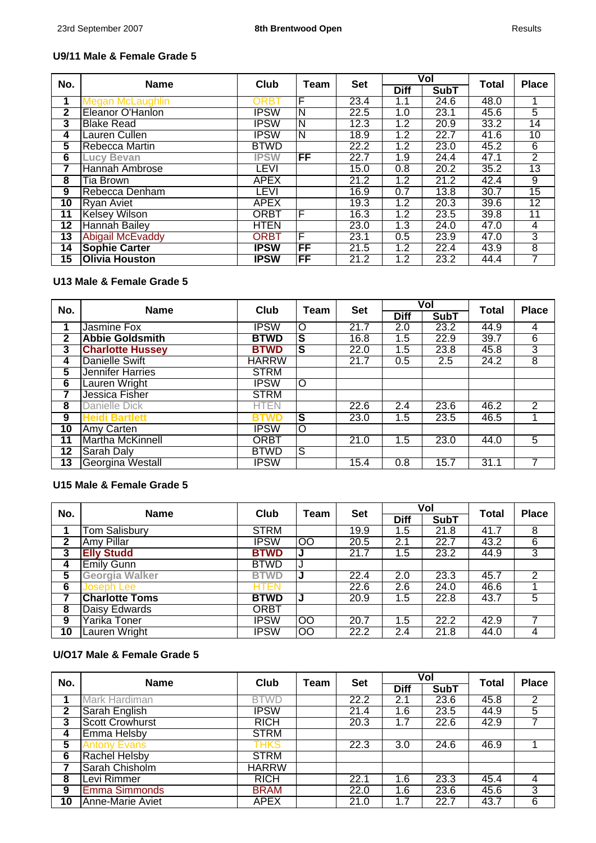## **U9/11 Male & Female Grade 5**

| No.             | <b>Name</b>             | Club        | Team | <b>Set</b> |             | Vol         | <b>Total</b> | <b>Place</b>    |
|-----------------|-------------------------|-------------|------|------------|-------------|-------------|--------------|-----------------|
|                 |                         |             |      |            | <b>Diff</b> | <b>SubT</b> |              |                 |
| 1               | Megan McLaughlin        | ORB1        | F    | 23.4       | 1.1         | 24.6        | 48.0         |                 |
| 2               | Eleanor O'Hanlon        | <b>IPSW</b> | N    | 22.5       | 1.0         | 23.1        | 45.6         | 5               |
| 3               | <b>Blake Read</b>       | <b>IPSW</b> | N    | 12.3       | 1.2         | 20.9        | 33.2         | 14              |
| 4               | Lauren Cullen           | <b>IPSW</b> | N    | 18.9       | 1.2         | 22.7        | 41.6         | 10              |
| 5               | Rebecca Martin          | <b>BTWD</b> |      | 22.2       | 1.2         | 23.0        | 45.2         | 6               |
| 6               | <b>Lucy Bevan</b>       | <b>IPSW</b> | FF   | 22.7       | 1.9         | 24.4        | 47.1         | $\overline{2}$  |
| 7               | Hannah Ambrose          | LEVI        |      | 15.0       | 0.8         | 20.2        | 35.2         | $\overline{13}$ |
| 8               | Tia Brown               | <b>APEX</b> |      | 21.2       | 1.2         | 21.2        | 42.4         | $\overline{9}$  |
| 9               | Rebecca Denham          | <b>LEVI</b> |      | 16.9       | 0.7         | 13.8        | 30.7         | 15              |
| 10              | Ryan Aviet              | <b>APEX</b> |      | 19.3       | 1.2         | 20.3        | 39.6         | $\overline{12}$ |
| 11              | <b>Kelsey Wilson</b>    | <b>ORBT</b> | F    | 16.3       | 1.2         | 23.5        | 39.8         | 11              |
| 12              | Hannah Bailey           | <b>HTEN</b> |      | 23.0       | 1.3         | 24.0        | 47.0         | 4               |
| 13              | <b>Abigail McEvaddy</b> | <b>ORBT</b> | F    | 23.1       | 0.5         | 23.9        | 47.0         | 3               |
| $1\overline{4}$ | <b>Sophie Carter</b>    | <b>IPSW</b> | FF   | 21.5       | 1.2         | 22.4        | 43.9         | 8               |
| 15              | <b>Olivia Houston</b>   | <b>IPSW</b> | FF   | 21.2       | 1.2         | 23.2        | 44.4         | 7               |

# **U13 Male & Female Grade 5**

| No.             | <b>Name</b>             | Club         | Team | <b>Set</b> |                  | Vol         | <b>Total</b> | <b>Place</b>   |
|-----------------|-------------------------|--------------|------|------------|------------------|-------------|--------------|----------------|
|                 |                         |              |      |            | <b>Diff</b>      | <b>SubT</b> |              |                |
|                 | Jasmine Fox             | <b>IPSW</b>  | O    | 21.7       | $\overline{2.0}$ | 23.2        | 44.9         | 4              |
| 2               | <b>Abbie Goldsmith</b>  | <b>BTWD</b>  | S    | 16.8       | 1.5              | 22.9        | 39.7         | $\overline{6}$ |
| 3               | <b>Charlotte Hussey</b> | <b>BTWD</b>  | S    | 22.0       | 1.5              | 23.8        | 45.8         | $\overline{3}$ |
| 4               | <b>Danielle Swift</b>   | <b>HARRW</b> |      | 21.7       | 0.5              | 2.5         | 24.2         | 8              |
| 5               | <b>Jennifer Harries</b> | <b>STRM</b>  |      |            |                  |             |              |                |
| 6               | Lauren Wright           | <b>IPSW</b>  | O    |            |                  |             |              |                |
|                 | Jessica Fisher          | <b>STRM</b>  |      |            |                  |             |              |                |
| 8               | Danielle Dick           | <b>HTEN</b>  |      | 22.6       | $\overline{2.4}$ | 23.6        | 46.2         | 2              |
| 9               | <b>Heidi Bartlett</b>   | BTWD         | S    | 23.0       | 1.5              | 23.5        | 46.5         |                |
| $\overline{10}$ | Amy Carten              | <b>IPSW</b>  | Ō    |            |                  |             |              |                |
| 11              | <b>Martha McKinnell</b> | <b>ORBT</b>  |      | 21.0       | 1.5              | 23.0        | 44.0         | 5              |
| 12              | Sarah Daly              | <b>BTWD</b>  | ड    |            |                  |             |              |                |
| 13              | Georgina Westall        | <b>IPSW</b>  |      | 15.4       | 0.8              | 15.7        | 31.1         | 7              |

#### **U15 Male & Female Grade 5**

| No. | <b>Name</b>           | Club        | Team                 | <b>Set</b> |                  | Vol         | <b>Total</b> | <b>Place</b>   |
|-----|-----------------------|-------------|----------------------|------------|------------------|-------------|--------------|----------------|
|     |                       |             |                      |            | <b>Diff</b>      | <b>SubT</b> |              |                |
|     | <b>Tom Salisbury</b>  | <b>STRM</b> |                      | 19.9       | 1.5              | 21.8        | 41.7         | 8              |
| 2   | <b>Amy Pillar</b>     | <b>IPSW</b> | $\overline{\text{}}$ | 20.5       | 2.1              | 22.7        | 43.2         | $\overline{6}$ |
| 3   | <b>Elly Studd</b>     | <b>BTWD</b> | J                    | 21.7       | 1.5              | 23.2        | 44.9         | 3              |
| 4   | <b>Emily Gunn</b>     | <b>BTWD</b> |                      |            |                  |             |              |                |
| 5   | <b>Georgia Walker</b> | <b>BTWD</b> |                      | 22.4       | 2.0              | 23.3        | 45.7         | 2              |
| 6   | Joseph Lee            | HTEN        |                      | 22.6       | 2.6              | 24.0        | 46.6         |                |
|     | <b>Charlotte Toms</b> | <b>BTWD</b> |                      | 20.9       | $1.\overline{5}$ | 22.8        | 43.7         | 5              |
| 8   | Daisy Edwards         | <b>ORBT</b> |                      |            |                  |             |              |                |
| 9   | Yarika Toner          | <b>IPSW</b> | $\overline{\text{}}$ | 20.7       | $1.\overline{5}$ | 22.2        | 42.9         |                |
| 10  | Lauren Wright         | <b>IPSW</b> | OO                   | 22.2       | 2.4              | 21.8        | 44.0         | 4              |

# **U/O17 Male & Female Grade 5**

| No.          | <b>Name</b>             | Club         | Team | <b>Set</b> |             | Vol         | Total | <b>Place</b>    |
|--------------|-------------------------|--------------|------|------------|-------------|-------------|-------|-----------------|
|              |                         |              |      |            | <b>Diff</b> | <b>SubT</b> |       |                 |
|              | Mark Hardiman           | <b>BTWD</b>  |      | 22.2       | 2.1         | 23.6        | 45.8  | $\overline{2}$  |
| $\mathbf{2}$ | Sarah English           | <b>IPSW</b>  |      | 21.4       | $1.6\,$     | 23.5        | 44.9  | 5               |
| 3            | <b>Scott Crowhurst</b>  | <b>RICH</b>  |      | 20.3       | 1.7         | 22.6        | 42.9  | 7               |
| 4            | Emma Helsby             | <b>STRM</b>  |      |            |             |             |       |                 |
| 5            | <b>Antony Evans</b>     | THKS         |      | 22.3       | 3.0         | 24.6        | 46.9  |                 |
| 6            | Rachel Helsby           | <b>STRM</b>  |      |            |             |             |       |                 |
|              | Sarah Chisholm          | <b>HARRW</b> |      |            |             |             |       |                 |
| 8            | Levi Rimmer             | <b>RICH</b>  |      | 22.1       | 1.6         | 23.3        | 45.4  | 4               |
| 9            | <b>Emma Simmonds</b>    | <b>BRAM</b>  |      | 22.0       | 1.6         | 23.6        | 45.6  | 3               |
| 10           | <b>Anne-Marie Aviet</b> | <b>APEX</b>  |      | 21.0       | 1.7         | 22.7        | 43.7  | $6\overline{6}$ |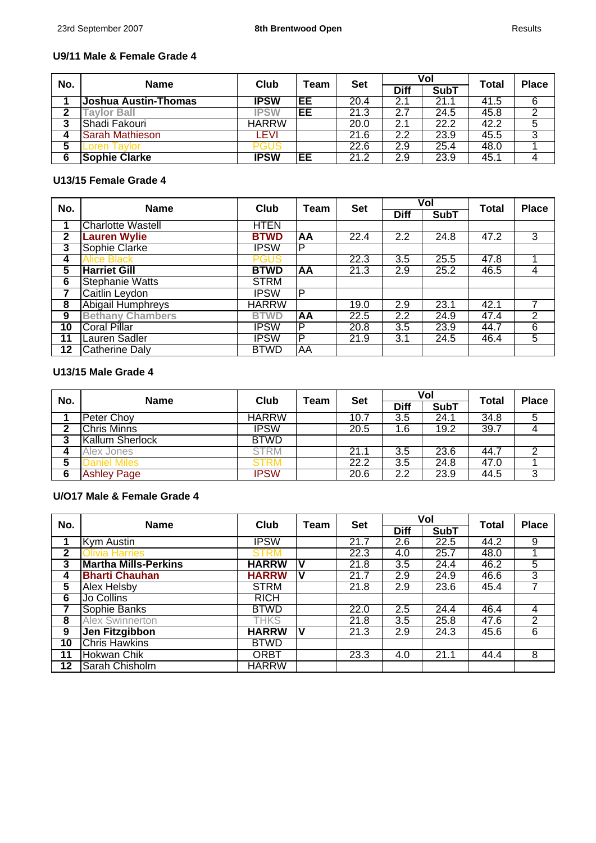J.

## **U9/11 Male & Female Grade 4**

| No. | <b>Name</b>          | Club         | Team | <b>Set</b> | Vol         |             | <b>Total</b> | <b>Place</b> |
|-----|----------------------|--------------|------|------------|-------------|-------------|--------------|--------------|
|     |                      |              |      |            | <b>Diff</b> | <b>SubT</b> |              |              |
|     | Joshua Austin-Thomas | <b>IPSW</b>  | EE   | 20.4       | 2.1         | 21.1        | 41.5         | 6            |
| ∍   | <b>Tavlor Ball</b>   | <b>IPSW</b>  | EЕ   | 21.3       | 2.7         | 24.5        | 45.8         |              |
| 3   | Shadi Fakouri        | <b>HARRW</b> |      | 20.0       | 2.1         | 22.2        | 42.2         | C            |
|     | Sarah Mathieson      | -EVI         |      | 21.6       | 2.2         | 23.9        | 45.5         | 3            |
|     | _oren Tavlor         | PGUS         |      | 22.6       | 2.9         | 25.4        | 48.0         |              |
| 6   | <b>Sophie Clarke</b> | <b>IPSW</b>  | EE   | 21.2       | 2.9         | 23.9        | 45.1         |              |

#### **U13/15 Female Grade 4**

| No. | <b>Name</b>              | Club         | Team      | <b>Set</b> |                  | Vol         | Total | <b>Place</b>    |
|-----|--------------------------|--------------|-----------|------------|------------------|-------------|-------|-----------------|
|     |                          |              |           |            | <b>Diff</b>      | <b>SubT</b> |       |                 |
| 1   | <b>Charlotte Wastell</b> | <b>HTEN</b>  |           |            |                  |             |       |                 |
| 2   | <b>Lauren Wylie</b>      | <b>BTWD</b>  | AA        | 22.4       | $\overline{2.2}$ | 24.8        | 47.2  | 3               |
| 3   | Sophie Clarke            | <b>IPSW</b>  | P         |            |                  |             |       |                 |
| 4   | <b>Alice Black</b>       | <b>PGUS</b>  |           | 22.3       | 3.5              | 25.5        | 47.8  |                 |
| 5   | <b>Harriet Gill</b>      | <b>BTWD</b>  | AA        | 21.3       | 2.9              | 25.2        | 46.5  | 4               |
| 6   | <b>Stephanie Watts</b>   | <b>STRM</b>  |           |            |                  |             |       |                 |
| 7   | Caitlin Leydon           | <b>IPSW</b>  | P         |            |                  |             |       |                 |
| 8   | <b>Abigail Humphreys</b> | <b>HARRW</b> |           | 19.0       | 2.9              | 23.1        | 42.1  |                 |
| 9   | <b>Bethany Chambers</b>  | <b>BTWD</b>  | <b>AA</b> | 22.5       | $\overline{2.2}$ | 24.9        | 47.4  | 2               |
| 10  | <b>Coral Pillar</b>      | <b>IPSW</b>  | P         | 20.8       | $\overline{3.5}$ | 23.9        | 44.7  | $6\overline{6}$ |
| 11  | Lauren Sadler            | <b>IPSW</b>  | P         | 21.9       | 3.1              | 24.5        | 46.4  | 5               |
| 12  | Catherine Daly           | <b>BTWD</b>  | AA        |            |                  |             |       |                 |

# **U13/15 Male Grade 4**

| No. | <b>Name</b>            | Club         | Team | <b>Set</b> | Vol         |             | <b>Total</b> | <b>Place</b> |
|-----|------------------------|--------------|------|------------|-------------|-------------|--------------|--------------|
|     |                        |              |      |            | <b>Diff</b> | <b>SubT</b> |              |              |
|     | <b>Peter Choy</b>      | <b>HARRW</b> |      | 10.7       | 3.5         | 24.1        | 34.8         | 5            |
| 2   | <b>Chris Minns</b>     | <b>IPSW</b>  |      | 20.5       | 1.6         | 19.2        | 39.7         |              |
| 3   | <b>Kallum Sherlock</b> | <b>BTWD</b>  |      |            |             |             |              |              |
|     | Alex Jones             | <b>STRM</b>  |      | 21.1       | 3.5         | 23.6        | 44.7         |              |
| ວ   | )aniel Miles           | <b>STRM</b>  |      | 22.2       | 3.5         | 24.8        | 47.0         |              |
| 6   | <b>Ashley Page</b>     | <b>IPSW</b>  |      | 20.6       | 2.2         | 23.9        | 44.5         | 3            |

## **U/O17 Male & Female Grade 4**

| No. | <b>Name</b>                 | Club         | Team | <b>Set</b> |                  | Vol         | <b>Total</b> | <b>Place</b>   |
|-----|-----------------------------|--------------|------|------------|------------------|-------------|--------------|----------------|
|     |                             |              |      |            | <b>Diff</b>      | <b>SubT</b> |              |                |
|     | Kym Austin                  | <b>IPSW</b>  |      | 21.7       | 2.6              | 22.5        | 44.2         | 9              |
| 2   | <b>Olivia Harries</b>       | <b>STRM</b>  |      | 22.3       | 4.0              | 25.7        | 48.0         |                |
| 3   | <b>Martha Mills-Perkins</b> | <b>HARRW</b> |      | 21.8       | $\overline{3.5}$ | 24.4        | 46.2         | 5              |
| 4   | <b>Bharti Chauhan</b>       | <b>HARRW</b> | N    | 21.7       | 2.9              | 24.9        | 46.6         | 3              |
| 5   | <b>Alex Helsby</b>          | <b>STRM</b>  |      | 21.8       | 2.9              | 23.6        | 45.4         |                |
| 6   | Jo Collins                  | <b>RICH</b>  |      |            |                  |             |              |                |
| 7   | Sophie Banks                | <b>BTWD</b>  |      | 22.0       | 2.5              | 24.4        | 46.4         | 4              |
| 8   | <b>Alex Swinnerton</b>      | THKS         |      | 21.8       | $\overline{3.5}$ | 25.8        | 47.6         | 2              |
| 9   | Jen Fitzgibbon              | <b>HARRW</b> |      | 21.3       | 2.9              | 24.3        | 45.6         | 6              |
| 10  | <b>Chris Hawkins</b>        | <b>BTWD</b>  |      |            |                  |             |              |                |
| 11  | <b>Hokwan Chik</b>          | <b>ORBT</b>  |      | 23.3       | 4.0              | 21.1        | 44.4         | $\overline{8}$ |
| 12  | Sarah Chisholm              | <b>HARRW</b> |      |            |                  |             |              |                |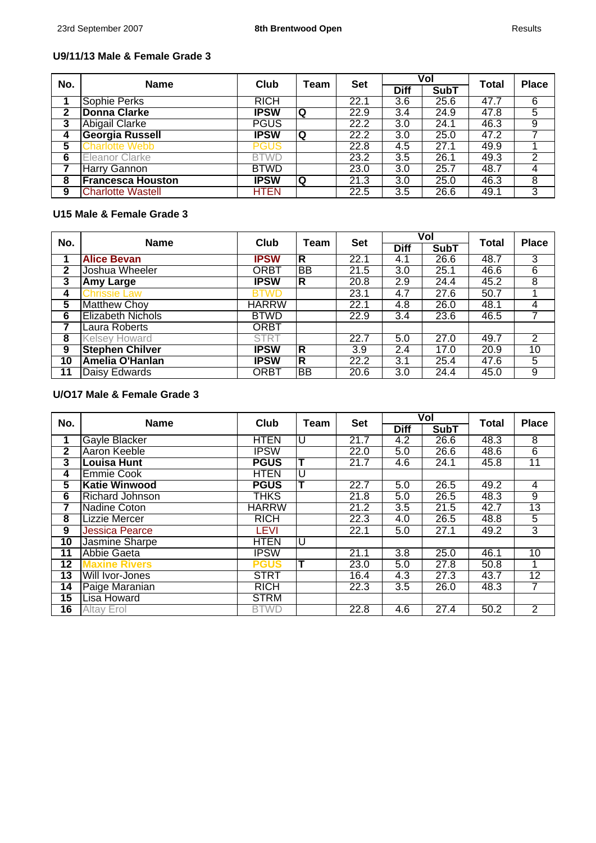J.

## **U9/11/13 Male & Female Grade 3**

| No. | <b>Name</b>              | Club        | Team | <b>Set</b> |                  | Vol         | <b>Total</b> | <b>Place</b>   |
|-----|--------------------------|-------------|------|------------|------------------|-------------|--------------|----------------|
|     |                          |             |      |            | <b>Diff</b>      | <b>SubT</b> |              |                |
|     | Sophie Perks             | <b>RICH</b> |      | 22.1       | 3.6              | 25.6        | 47.7         | $\overline{6}$ |
| 2   | <b>Donna Clarke</b>      | <b>IPSW</b> | Q    | 22.9       | 3.4              | 24.9        | 47.8         | 5              |
| 3   | <b>Abigail Clarke</b>    | <b>PGUS</b> |      | 22.2       | 3.0              | 24.1        | 46.3         | 9              |
| 4   | <b>Georgia Russell</b>   | <b>IPSW</b> | Q    | 22.2       | 3.0              | 25.0        | 47.2         |                |
| 5   | <b>Charlotte Webb</b>    | <b>PGUS</b> |      | 22.8       | 4.5              | 27.1        | 49.9         |                |
| 6   | Eleanor Clarke           | <b>BTWD</b> |      | 23.2       | $\overline{3.5}$ | 26.1        | 49.3         | 2              |
|     | <b>Harry Gannon</b>      | <b>BTWD</b> |      | 23.0       | 3.0              | 25.7        | 48.7         | 4              |
| 8   | <b>Francesca Houston</b> | <b>IPSW</b> | Q    | 21.3       | 3.0              | 25.0        | 46.3         | 8              |
| 9   | <b>Charlotte Wastell</b> | <b>HTEN</b> |      | 22.5       | 3.5              | 26.6        | 49.1         | 3              |

#### **U15 Male & Female Grade 3**

| No.         | <b>Name</b>              | Club         | Team | <b>Set</b>       |                  | Vol         | <b>Total</b>      | <b>Place</b>   |
|-------------|--------------------------|--------------|------|------------------|------------------|-------------|-------------------|----------------|
|             |                          |              |      |                  | <b>Diff</b>      | <b>SubT</b> |                   |                |
|             | <b>Alice Bevan</b>       | <b>IPSW</b>  | R    | 22.1             | 4.1              | 26.6        | 48.7              | 3              |
| $\mathbf 2$ | Joshua Wheeler           | ORBT         | BB   | 21.5             | 3.0              | 25.1        | 46.6              | 6              |
| 3           | <b>Amy Large</b>         | <b>IPSW</b>  | R    | 20.8             | 2.9              | 24.4        | 45.2              | 8              |
| 4           | <b>Chrissie Law</b>      | BTWD         |      | 23.1             | 4.7              | 27.6        | 50.7              |                |
| 5           | <b>Matthew Choy</b>      | <b>HARRW</b> |      | 22.1             | 4.8              | 26.0        | 48.1              | 4              |
| 6           | <b>Elizabeth Nichols</b> | <b>BTWD</b>  |      | 22.9             | $\overline{3.4}$ | 23.6        | 46.5              | 7              |
|             | Laura Roberts            | <b>ORBT</b>  |      |                  |                  |             |                   |                |
| 8           | <b>Kelsey Howard</b>     | <b>STRT</b>  |      | 22.7             | 5.0              | 27.0        | 49.7              | $\overline{2}$ |
| 9           | <b>Stephen Chilver</b>   | <b>IPSW</b>  | R    | $\overline{3.9}$ | 2.4              | 17.0        | $\overline{20.9}$ | 10             |
| 10          | Amelia O'Hanlan          | <b>IPSW</b>  | R    | 22.2             | 3.1              | 25.4        | 47.6              | 5              |
| 11          | Daisy Edwards            | ORBT         | BB.  | 20.6             | 3.0              | 24.4        | 45.0              | 9              |

# **U/O17 Male & Female Grade 3**

| No.             | <b>Name</b>            | Club         | Team | <b>Set</b> |                  | Vol         | <b>Total</b> | <b>Place</b>    |
|-----------------|------------------------|--------------|------|------------|------------------|-------------|--------------|-----------------|
|                 |                        |              |      |            | <b>Diff</b>      | <b>SubT</b> |              |                 |
| 1               | Gayle Blacker          | <b>HTEN</b>  | U    | 21.7       | 4.2              | 26.6        | 48.3         | $\overline{8}$  |
| $\mathbf{2}$    | <b>Aaron Keeble</b>    | <b>IPSW</b>  |      | 22.0       | 5.0              | 26.6        | 48.6         | $\overline{6}$  |
| 3               | <b>Louisa Hunt</b>     | <b>PGUS</b>  |      | 21.7       | 4.6              | 24.1        | 45.8         | $\overline{11}$ |
| 4               | <b>Emmie Cook</b>      | <b>HTEN</b>  | U    |            |                  |             |              |                 |
| 5               | <b>Katie Winwood</b>   | <b>PGUS</b>  |      | 22.7       | 5.0              | 26.5        | 49.2         | $\overline{4}$  |
| 6               | <b>Richard Johnson</b> | THKS         |      | 21.8       | 5.0              | 26.5        | 48.3         | 9               |
| 7               | <b>Nadine Coton</b>    | <b>HARRW</b> |      | 21.2       | 3.5              | 21.5        | 42.7         | 13              |
| 8               | <b>Lizzie Mercer</b>   | <b>RICH</b>  |      | 22.3       | 4.0              | 26.5        | 48.8         | 5               |
| 9               | <b>Jessica Pearce</b>  | <b>LEVI</b>  |      | 22.1       | 5.0              | 27.1        | 49.2         | $\overline{3}$  |
| $\overline{10}$ | Jasmine Sharpe         | <b>HTEN</b>  | U    |            |                  |             |              |                 |
| 11              | Abbie Gaeta            | <b>IPSW</b>  |      | 21.1       | $\overline{3.8}$ | 25.0        | 46.1         | $\overline{10}$ |
| 12              | <b>Maxine Rivers</b>   | PGUS         |      | 23.0       | 5.0              | 27.8        | 50.8         | 1               |
| 13              | Will Ivor-Jones        | <b>STRT</b>  |      | 16.4       | 4.3              | 27.3        | 43.7         | $\overline{12}$ |
| 14              | Paige Maranian         | <b>RICH</b>  |      | 22.3       | $\overline{3.5}$ | 26.0        | 48.3         | 7               |
| $\overline{15}$ | <b>Lisa Howard</b>     | <b>STRM</b>  |      |            |                  |             |              |                 |
| 16              | <b>Altay Erol</b>      | <b>BTWD</b>  |      | 22.8       | 4.6              | 27.4        | 50.2         | $\overline{2}$  |